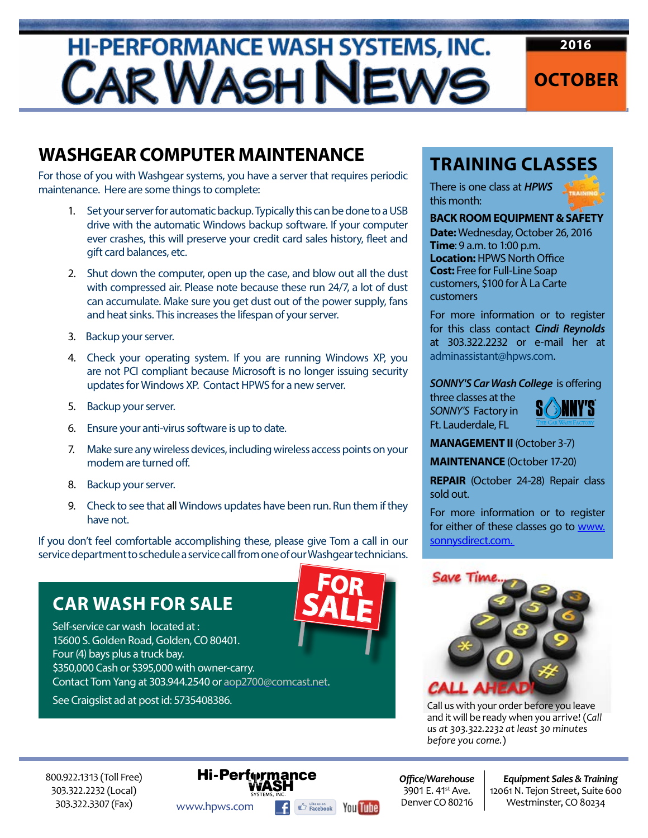# **HI-PERFORMANCE WASH SYSTEMS, INC.** CAR WASH NEWS



### **WASHGEAR COMPUTER MAINTENANCE**

For those of you with Washgear systems, you have a server that requires periodic maintenance. Here are some things to complete:

- 1. Set your server for automatic backup. Typically this can be done to a USB drive with the automatic Windows backup software. If your computer ever crashes, this will preserve your credit card sales history, fleet and gift card balances, etc.
- 2. Shut down the computer, open up the case, and blow out all the dust with compressed air. Please note because these run 24/7, a lot of dust can accumulate. Make sure you get dust out of the power supply, fans and heat sinks. This increases the lifespan of your server.
- 3. Backup your server.
- 4. Check your operating system. If you are running Windows XP, you are not PCI compliant because Microsoft is no longer issuing security updates for Windows XP. Contact HPWS for a new server.
- 5. Backup your server.
- 6. Ensure your anti-virus software is up to date.
- 7. Make sure any wireless devices, including wireless access points on your modem are turned off.
- 8. Backup your server.
- 9. Check to see that all Windows updates have been run. Run them if they have not.

If you don't feel comfortable accomplishing these, please give Tom a call in our service department to schedule a service call from one of our Washgear technicians.

### **CAR WASH FOR SALE**

Self-service car wash located at : 15600 S. Golden Road, Golden, CO 80401. Four (4) bays plus a truck bay. \$350,000 Cash or \$395,000 with owner-carry. Contact Tom Yang at 303.944.2540 or [aop2700@comcast.net.](mailto:aop2700%40comcast.net?subject=)

See Craigslist ad at post id: 5735408386.



#### **TRAINING CLASSES**

There is one class at *HPWS*  this month:



#### **BACK ROOM EQUIPMENT & SAFETY**

**Date:** Wednesday, October 26, 2016 **Time**: 9 a.m. to 1:00 p.m. **Location:** HPWS North Office **Cost:** Free for Full-Line Soap customers, \$100 for À La Carte customers

For more information or to register for this class contact *Cindi Reynolds*  at 303.322.2232 or e-mail her at [adminassistant@hpws.com.](mailto:adminassistant%40hpws.com?subject=)

#### *SONNY'S Car Wash College* is offering

three classes at the *SONNY'S* Factory in Ft. Lauderdale, FL



**MANAGEMENT II** (October 3-7)

**MAINTENANCE** (October 17-20)

**REPAIR** (October 24-28) Repair class sold out.

For more information or to register for either of these classes go to www. sonnysdirect.com.



Call us with your order before you leave and it will be ready when you arrive! (*Call us at 303.322.2232 at least 30 minutes before you come.*)

800.922.1313 (Toll Free) 303.322.2232 (Local) 303.322.3307 (Fax)

### **Hi-Performance** WWW.hpws.com **f**  $\mathbb{E}_{\text{Factor}}$  **You Tube** Denver CO 80216 Westminster, CO 80234

*Offi ce/Warehouse* 3901 E. 41<sup>st</sup> Ave. Denver CO 80216

*Equipment Sales & Training* 12061 N. Tejon Street, Suite 600